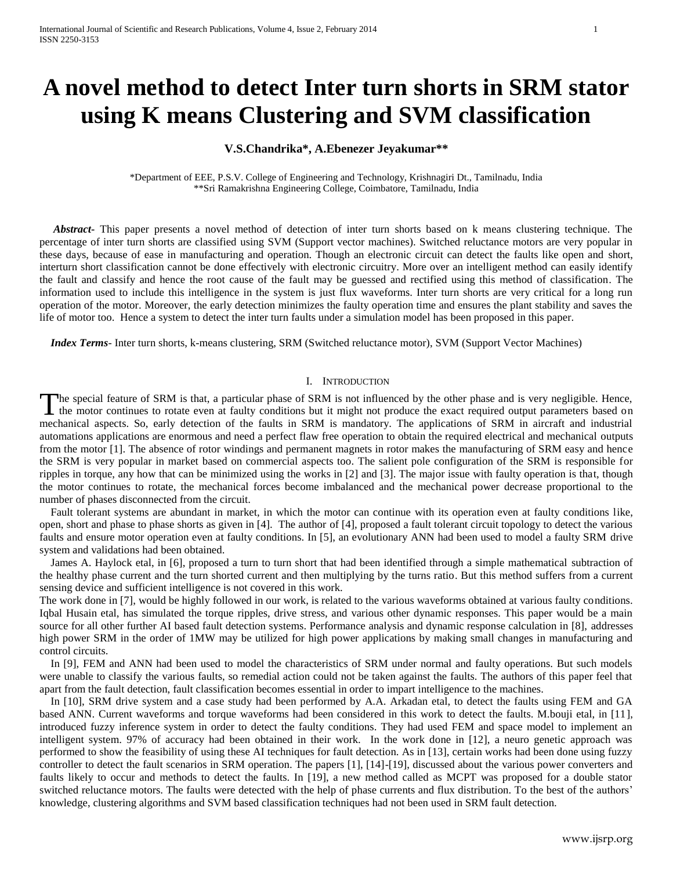# **V.S.Chandrika\*, A.Ebenezer Jeyakumar\*\***

\*Department of EEE, P.S.V. College of Engineering and Technology, Krishnagiri Dt., Tamilnadu, India \*\*Sri Ramakrishna Engineering College, Coimbatore, Tamilnadu, India

 *Abstract***-** This paper presents a novel method of detection of inter turn shorts based on k means clustering technique. The percentage of inter turn shorts are classified using SVM (Support vector machines). Switched reluctance motors are very popular in these days, because of ease in manufacturing and operation. Though an electronic circuit can detect the faults like open and short, interturn short classification cannot be done effectively with electronic circuitry. More over an intelligent method can easily identify the fault and classify and hence the root cause of the fault may be guessed and rectified using this method of classification. The information used to include this intelligence in the system is just flux waveforms. Inter turn shorts are very critical for a long run operation of the motor. Moreover, the early detection minimizes the faulty operation time and ensures the plant stability and saves the life of motor too. Hence a system to detect the inter turn faults under a simulation model has been proposed in this paper.

 *Index Terms*- Inter turn shorts, k-means clustering, SRM (Switched reluctance motor), SVM (Support Vector Machines)

# I. INTRODUCTION

The special feature of SRM is that, a particular phase of SRM is not influenced by the other phase and is very negligible. Hence, The special feature of SRM is that, a particular phase of SRM is not influenced by the other phase and is very negligible. Hence, the motor continues to rotate even at faulty conditions but it might not produce the exact r mechanical aspects. So, early detection of the faults in SRM is mandatory. The applications of SRM in aircraft and industrial automations applications are enormous and need a perfect flaw free operation to obtain the required electrical and mechanical outputs from the motor [1]. The absence of rotor windings and permanent magnets in rotor makes the manufacturing of SRM easy and hence the SRM is very popular in market based on commercial aspects too. The salient pole configuration of the SRM is responsible for ripples in torque, any how that can be minimized using the works in [2] and [3]. The major issue with faulty operation is that, though the motor continues to rotate, the mechanical forces become imbalanced and the mechanical power decrease proportional to the number of phases disconnected from the circuit.

 Fault tolerant systems are abundant in market, in which the motor can continue with its operation even at faulty conditions like, open, short and phase to phase shorts as given in [4]. The author of [4], proposed a fault tolerant circuit topology to detect the various faults and ensure motor operation even at faulty conditions. In [5], an evolutionary ANN had been used to model a faulty SRM drive system and validations had been obtained.

 James A. Haylock etal, in [6], proposed a turn to turn short that had been identified through a simple mathematical subtraction of the healthy phase current and the turn shorted current and then multiplying by the turns ratio. But this method suffers from a current sensing device and sufficient intelligence is not covered in this work.

The work done in [7], would be highly followed in our work, is related to the various waveforms obtained at various faulty conditions. Iqbal Husain etal, has simulated the torque ripples, drive stress, and various other dynamic responses. This paper would be a main source for all other further AI based fault detection systems. Performance analysis and dynamic response calculation in [8], addresses high power SRM in the order of 1MW may be utilized for high power applications by making small changes in manufacturing and control circuits.

 In [9], FEM and ANN had been used to model the characteristics of SRM under normal and faulty operations. But such models were unable to classify the various faults, so remedial action could not be taken against the faults. The authors of this paper feel that apart from the fault detection, fault classification becomes essential in order to impart intelligence to the machines.

 In [10], SRM drive system and a case study had been performed by A.A. Arkadan etal, to detect the faults using FEM and GA based ANN. Current waveforms and torque waveforms had been considered in this work to detect the faults. M.bouji etal, in [11], introduced fuzzy inference system in order to detect the faulty conditions. They had used FEM and space model to implement an intelligent system. 97% of accuracy had been obtained in their work. In the work done in [12], a neuro genetic approach was performed to show the feasibility of using these AI techniques for fault detection. As in [13], certain works had been done using fuzzy controller to detect the fault scenarios in SRM operation. The papers [1], [14]-[19], discussed about the various power converters and faults likely to occur and methods to detect the faults. In [19], a new method called as MCPT was proposed for a double stator switched reluctance motors. The faults were detected with the help of phase currents and flux distribution. To the best of the authors' knowledge, clustering algorithms and SVM based classification techniques had not been used in SRM fault detection.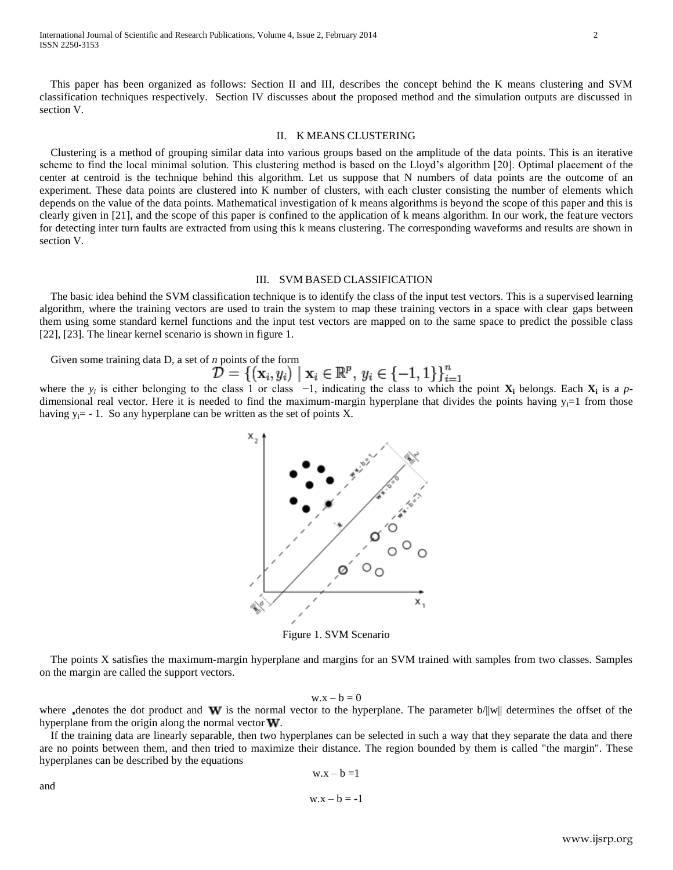This paper has been organized as follows: Section II and III, describes the concept behind the K means clustering and SVM classification techniques respectively. Section IV discusses about the proposed method and the simulation outputs are discussed in section V.

### II. K MEANS CLUSTERING

 Clustering is a method of grouping similar data into various groups based on the amplitude of the data points. This is an iterative scheme to find the local minimal solution. This clustering method is based on the Lloyd's algorithm [20]. Optimal placement of the center at centroid is the technique behind this algorithm. Let us suppose that N numbers of data points are the outcome of an experiment. These data points are clustered into K number of clusters, with each cluster consisting the number of elements which depends on the value of the data points. Mathematical investigation of k means algorithms is beyond the scope of this paper and this is clearly given in [21], and the scope of this paper is confined to the application of k means algorithm. In our work, the feature vectors for detecting inter turn faults are extracted from using this k means clustering. The corresponding waveforms and results are shown in section V.

## III. SVM BASED CLASSIFICATION

 The basic idea behind the SVM classification technique is to identify the class of the input test vectors. This is a supervised learning algorithm, where the training vectors are used to train the system to map these training vectors in a space with clear gaps between them using some standard kernel functions and the input test vectors are mapped on to the same space to predict the possible class [22], [23]. The linear kernel scenario is shown in figure 1.

Given some training data D, a set of *n* points of the form

and

where the  $y_i$  is either belonging to the class 1 or class  $-1$ , indicating the class to which the point  $X_i$  belongs. Each  $X_i$  is a pdimensional real vector. Here it is needed to find the maximum-margin hyperplane that divides the points having  $y_i=1$  from those having  $y_i = -1$ . So any hyperplane can be written as the set of points X.



Figure 1. SVM Scenario

 The points X satisfies the maximum-margin hyperplane and margins for an SVM trained with samples from two classes. Samples on the margin are called the support vectors.

 $w.x - b = 0$ 

where denotes the dot product and W is the normal vector to the hyperplane. The parameter  $b/||w||$  determines the offset of the hyperplane from the origin along the normal vector  $W$ .

 If the training data are linearly separable, then two hyperplanes can be selected in such a way that they separate the data and there are no points between them, and then tried to maximize their distance. The region bounded by them is called "the margin". These hyperplanes can be described by the equations

$$
w.x - b = 1
$$

$$
w.x - b = -1
$$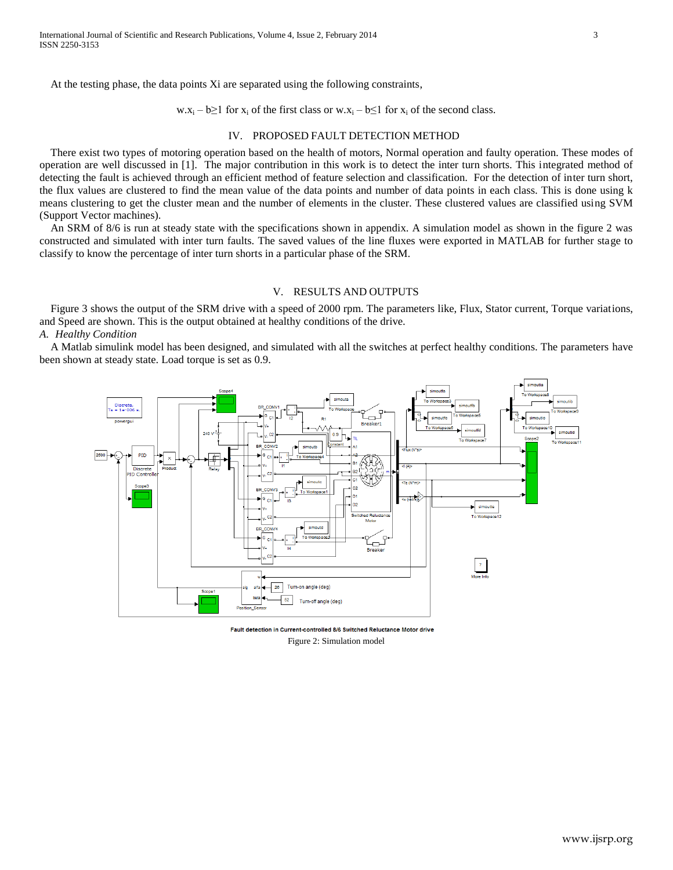At the testing phase, the data points Xi are separated using the following constraints,

w.x<sub>i</sub> – b≥1 for x<sub>i</sub> of the first class or w.x<sub>i</sub> – b≤1 for x<sub>i</sub> of the second class.

# IV. PROPOSED FAULT DETECTION METHOD

 There exist two types of motoring operation based on the health of motors, Normal operation and faulty operation. These modes of operation are well discussed in [1]. The major contribution in this work is to detect the inter turn shorts. This integrated method of detecting the fault is achieved through an efficient method of feature selection and classification. For the detection of inter turn short, the flux values are clustered to find the mean value of the data points and number of data points in each class. This is done using k means clustering to get the cluster mean and the number of elements in the cluster. These clustered values are classified using SVM (Support Vector machines).

 An SRM of 8/6 is run at steady state with the specifications shown in appendix. A simulation model as shown in the figure 2 was constructed and simulated with inter turn faults. The saved values of the line fluxes were exported in MATLAB for further stage to classify to know the percentage of inter turn shorts in a particular phase of the SRM.

### V. RESULTS AND OUTPUTS

Figure 3 shows the output of the SRM drive with a speed of 2000 rpm. The parameters like, Flux, Stator current, Torque variations, and Speed are shown. This is the output obtained at healthy conditions of the drive.

*A. Healthy Condition*

 A Matlab simulink model has been designed, and simulated with all the switches at perfect healthy conditions. The parameters have been shown at steady state. Load torque is set as 0.9.



Fault detection in Current-controlled 8/6 Switched Reluctance Motor drive Figure 2: Simulation model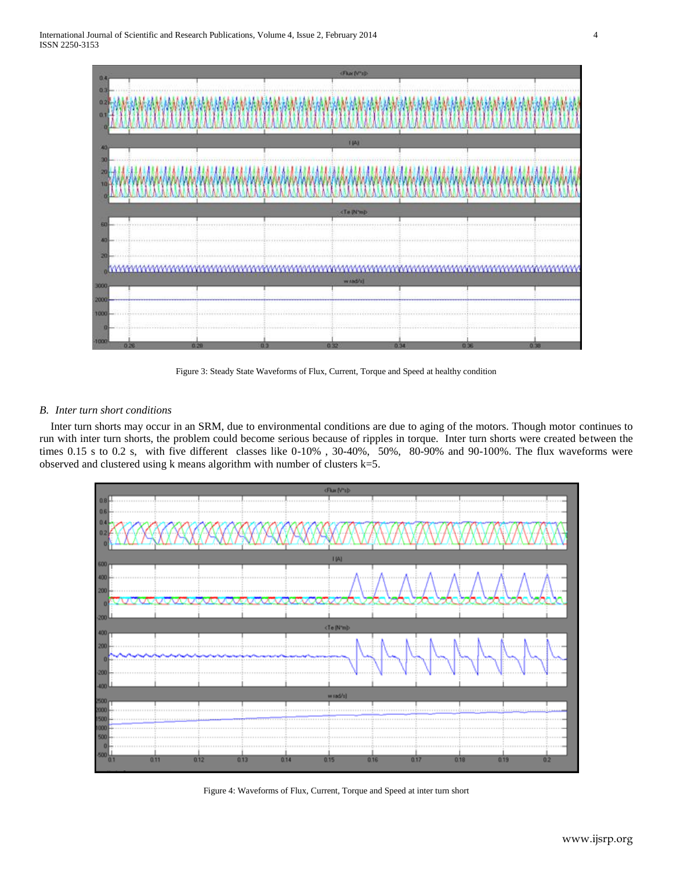

Figure 3: Steady State Waveforms of Flux, Current, Torque and Speed at healthy condition

# *B. Inter turn short conditions*

 Inter turn shorts may occur in an SRM, due to environmental conditions are due to aging of the motors. Though motor continues to run with inter turn shorts, the problem could become serious because of ripples in torque. Inter turn shorts were created between the times 0.15 s to 0.2 s, with five different classes like 0-10% , 30-40%, 50%, 80-90% and 90-100%. The flux waveforms were observed and clustered using k means algorithm with number of clusters k=5.



Figure 4: Waveforms of Flux, Current, Torque and Speed at inter turn short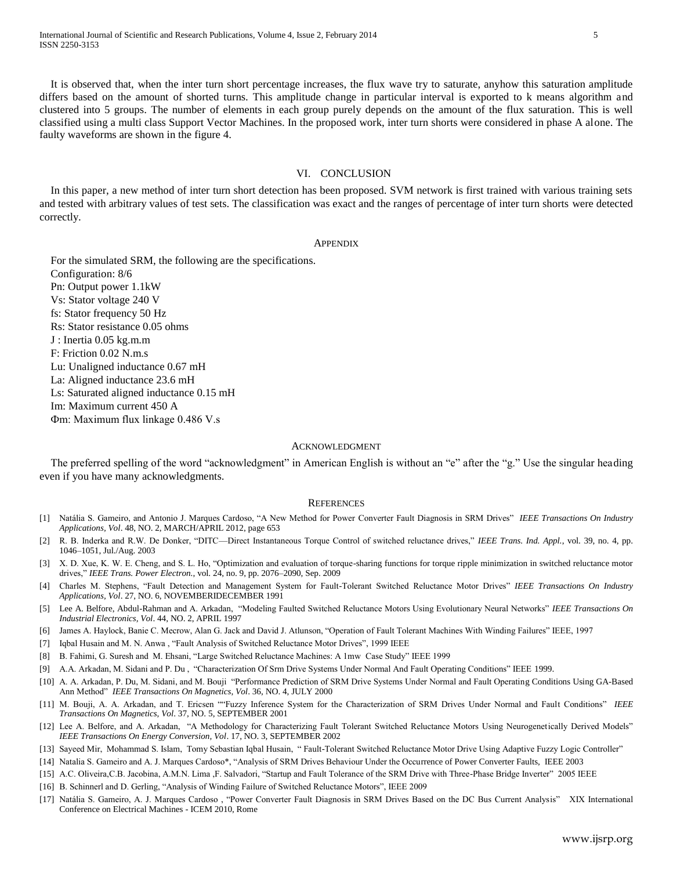It is observed that, when the inter turn short percentage increases, the flux wave try to saturate, anyhow this saturation amplitude differs based on the amount of shorted turns. This amplitude change in particular interval is exported to k means algorithm and clustered into 5 groups. The number of elements in each group purely depends on the amount of the flux saturation. This is well classified using a multi class Support Vector Machines. In the proposed work, inter turn shorts were considered in phase A alone. The faulty waveforms are shown in the figure 4.

## VI. CONCLUSION

 In this paper, a new method of inter turn short detection has been proposed. SVM network is first trained with various training sets and tested with arbitrary values of test sets. The classification was exact and the ranges of percentage of inter turn shorts were detected correctly.

### APPENDIX

For the simulated SRM, the following are the specifications. Configuration: 8/6 Pn: Output power 1.1kW Vs: Stator voltage 240 V fs: Stator frequency 50 Hz Rs: Stator resistance 0.05 ohms J : Inertia 0.05 kg.m.m F: Friction 0.02 N.m.s Lu: Unaligned inductance 0.67 mH La: Aligned inductance 23.6 mH Ls: Saturated aligned inductance 0.15 mH Im: Maximum current 450 A Фm: Maximum flux linkage 0.486 V.s

### ACKNOWLEDGMENT

The preferred spelling of the word "acknowledgment" in American English is without an "e" after the "g." Use the singular heading even if you have many acknowledgments.

#### **REFERENCES**

- [1] Natália S. Gameiro, and Antonio J. Marques Cardoso, "A New Method for Power Converter Fault Diagnosis in SRM Drives" *IEEE Transactions On Industry Applications, Vol*. 48, NO. 2, MARCH/APRIL 2012, page 653
- [2] R. B. Inderka and R.W. De Donker, "DITC—Direct Instantaneous Torque Control of switched reluctance drives," *IEEE Trans. Ind. Appl.*, vol. 39, no. 4, pp. 1046–1051, Jul./Aug. 2003
- [3] X. D. Xue, K. W. E. Cheng, and S. L. Ho, "Optimization and evaluation of torque-sharing functions for torque ripple minimization in switched reluctance motor drives," *IEEE Trans. Power Electron.*, vol. 24, no. 9, pp. 2076–2090, Sep. 2009
- [4] Charles M. Stephens, "Fault Detection and Management System for Fault-Tolerant Switched Reluctance Motor Drives" *IEEE Transactions On Industry Applications, Vol*. 27, NO. 6, NOVEMBERIDECEMBER 1991
- [5] Lee A. Belfore, Abdul-Rahman and A. Arkadan, "Modeling Faulted Switched Reluctance Motors Using Evolutionary Neural Networks" *IEEE Transactions On Industrial Electronics, Vol*. 44, NO. 2, APRIL 1997
- [6] James A. Haylock, Banie C. Mecrow, Alan G. Jack and David J. Atlunson, "Operation of Fault Tolerant Machines With Winding Failures" IEEE, 1997
- [7] Iqbal Husain and M. N. Anwa , "Fault Analysis of Switched Reluctance Motor Drives", 1999 IEEE
- [8] B. Fahimi, G. Suresh and M. Ehsani, "Large Switched Reluctance Machines: A 1mw Case Study" IEEE 1999
- [9] A.A. Arkadan, M. Sidani and P. Du , "Characterization Of Srm Drive Systems Under Normal And Fault Operating Conditions" IEEE 1999.
- [10] A. A. Arkadan, P. Du, M. Sidani, and M. Bouji "Performance Prediction of SRM Drive Systems Under Normal and Fault Operating Conditions Using GA-Based Ann Method" *IEEE Transactions On Magnetics, Vol*. 36, NO. 4, JULY 2000
- [11] M. Bouji, A. A. Arkadan, and T. Ericsen ""Fuzzy Inference System for the Characterization of SRM Drives Under Normal and Fault Conditions" *IEEE Transactions On Magnetics, Vol*. 37, NO. 5, SEPTEMBER 2001
- [12] Lee A. Belfore, and A. Arkadan, "A Methodology for Characterizing Fault Tolerant Switched Reluctance Motors Using Neurogenetically Derived Models" *IEEE Transactions On Energy Conversion, Vol*. 17, NO. 3, SEPTEMBER 2002
- [13] Sayeed Mir, Mohammad S. Islam, Tomy Sebastian Iqbal Husain, " Fault-Tolerant Switched Reluctance Motor Drive Using Adaptive Fuzzy Logic Controller"
- [14] Natalia S. Gameiro and A. J. Marques Cardoso\*, "Analysis of SRM Drives Behaviour Under the Occurrence of Power Converter Faults, IEEE 2003
- [15] A.C. Oliveira,C.B. Jacobina, A.M.N. Lima ,F. Salvadori, "Startup and Fault Tolerance of the SRM Drive with Three-Phase Bridge Inverter" 2005 IEEE
- [16] B. Schinnerl and D. Gerling, "Analysis of Winding Failure of Switched Reluctance Motors", IEEE 2009
- [17] Natália S. Gameiro, A. J. Marques Cardoso , "Power Converter Fault Diagnosis in SRM Drives Based on the DC Bus Current Analysis" XIX International Conference on Electrical Machines - ICEM 2010, Rome